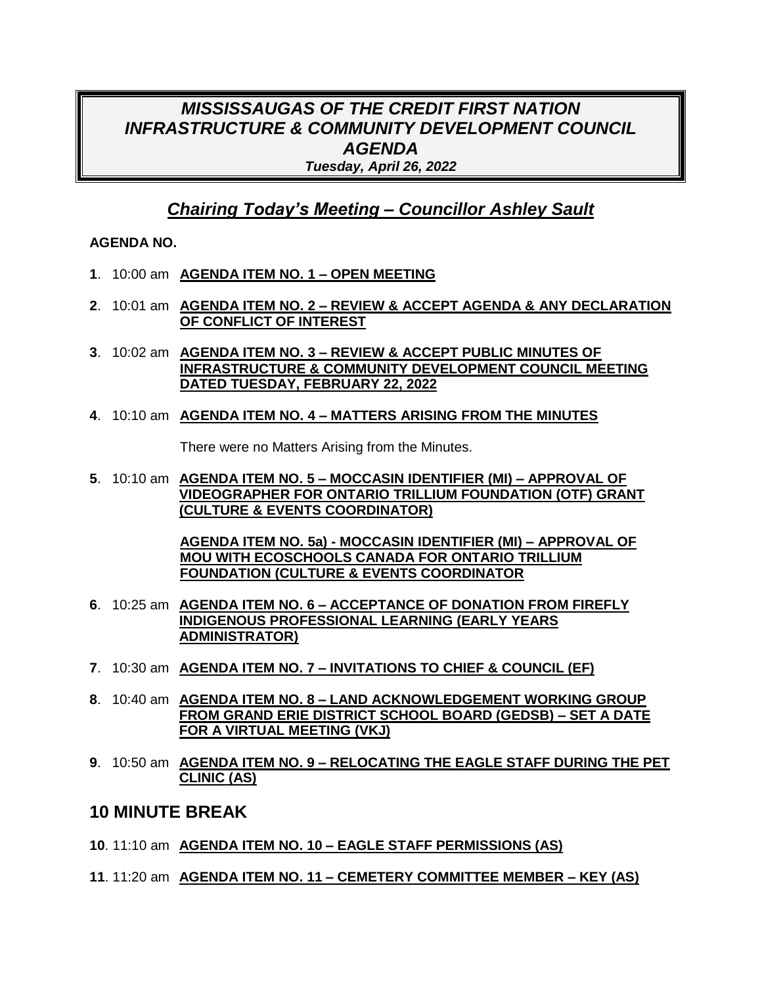# *MISSISSAUGAS OF THE CREDIT FIRST NATION INFRASTRUCTURE & COMMUNITY DEVELOPMENT COUNCIL AGENDA Tuesday, April 26, 2022*

# *Chairing Today's Meeting – Councillor Ashley Sault*

#### **AGENDA NO.**

- **1**. 10:00 am **AGENDA ITEM NO. 1 – OPEN MEETING**
- **2**. 10:01 am **AGENDA ITEM NO. 2 – REVIEW & ACCEPT AGENDA & ANY DECLARATION OF CONFLICT OF INTEREST**
- **3**. 10:02 am **AGENDA ITEM NO. 3 – REVIEW & ACCEPT PUBLIC MINUTES OF INFRASTRUCTURE & COMMUNITY DEVELOPMENT COUNCIL MEETING DATED TUESDAY, FEBRUARY 22, 2022**
- **4**. 10:10 am **AGENDA ITEM NO. 4 – MATTERS ARISING FROM THE MINUTES**

There were no Matters Arising from the Minutes.

**5**. 10:10 am **AGENDA ITEM NO. 5 – MOCCASIN IDENTIFIER (MI) – APPROVAL OF VIDEOGRAPHER FOR ONTARIO TRILLIUM FOUNDATION (OTF) GRANT (CULTURE & EVENTS COORDINATOR)**

> **AGENDA ITEM NO. 5a) - MOCCASIN IDENTIFIER (MI) – APPROVAL OF MOU WITH ECOSCHOOLS CANADA FOR ONTARIO TRILLIUM FOUNDATION (CULTURE & EVENTS COORDINATOR**

- **6**. 10:25 am **AGENDA ITEM NO. 6 – ACCEPTANCE OF DONATION FROM FIREFLY INDIGENOUS PROFESSIONAL LEARNING (EARLY YEARS ADMINISTRATOR)**
- **7**. 10:30 am **AGENDA ITEM NO. 7 – INVITATIONS TO CHIEF & COUNCIL (EF)**
- **8**. 10:40 am **AGENDA ITEM NO. 8 – LAND ACKNOWLEDGEMENT WORKING GROUP FROM GRAND ERIE DISTRICT SCHOOL BOARD (GEDSB) – SET A DATE FOR A VIRTUAL MEETING (VKJ)**
- **9**. 10:50 am **AGENDA ITEM NO. 9 – RELOCATING THE EAGLE STAFF DURING THE PET CLINIC (AS)**

### **10 MINUTE BREAK**

- **10**. 11:10 am **AGENDA ITEM NO. 10 – EAGLE STAFF PERMISSIONS (AS)**
- **11**. 11:20 am **AGENDA ITEM NO. 11 – CEMETERY COMMITTEE MEMBER – KEY (AS)**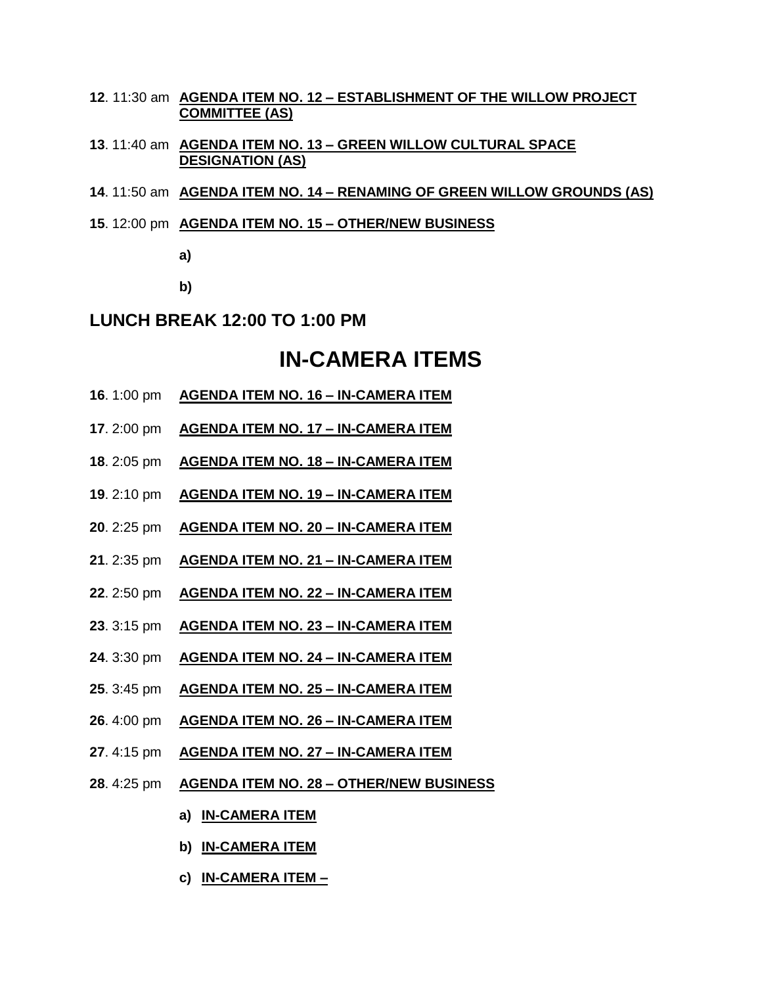- . 11:30 am **AGENDA ITEM NO. 12 – ESTABLISHMENT OF THE WILLOW PROJECT COMMITTEE (AS)**
- . 11:40 am **AGENDA ITEM NO. 13 – GREEN WILLOW CULTURAL SPACE DESIGNATION (AS)**
- . 11:50 am **AGENDA ITEM NO. 14 – RENAMING OF GREEN WILLOW GROUNDS (AS)**
- . 12:00 pm **AGENDA ITEM NO. 15 – OTHER/NEW BUSINESS**

**a)**

**b)**

#### **LUNCH BREAK 12:00 TO 1:00 PM**

# **IN-CAMERA ITEMS**

- . 1:00 pm **AGENDA ITEM NO. 16 – IN-CAMERA ITEM**
- . 2:00 pm **AGENDA ITEM NO. 17 – IN-CAMERA ITEM**
- . 2:05 pm **AGENDA ITEM NO. 18 – IN-CAMERA ITEM**
- . 2:10 pm **AGENDA ITEM NO. 19 – IN-CAMERA ITEM**
- . 2:25 pm **AGENDA ITEM NO. 20 – IN-CAMERA ITEM**
- . 2:35 pm **AGENDA ITEM NO. 21 – IN-CAMERA ITEM**
- . 2:50 pm **AGENDA ITEM NO. 22 – IN-CAMERA ITEM**
- . 3:15 pm **AGENDA ITEM NO. 23 – IN-CAMERA ITEM**
- . 3:30 pm **AGENDA ITEM NO. 24 – IN-CAMERA ITEM**
- . 3:45 pm **AGENDA ITEM NO. 25 – IN-CAMERA ITEM**
- . 4:00 pm **AGENDA ITEM NO. 26 – IN-CAMERA ITEM**
- . 4:15 pm **AGENDA ITEM NO. 27 – IN-CAMERA ITEM**
- . 4:25 pm **AGENDA ITEM NO. 28 – OTHER/NEW BUSINESS**
	- **a) IN-CAMERA ITEM**
	- **b) IN-CAMERA ITEM**
	- **c) IN-CAMERA ITEM –**